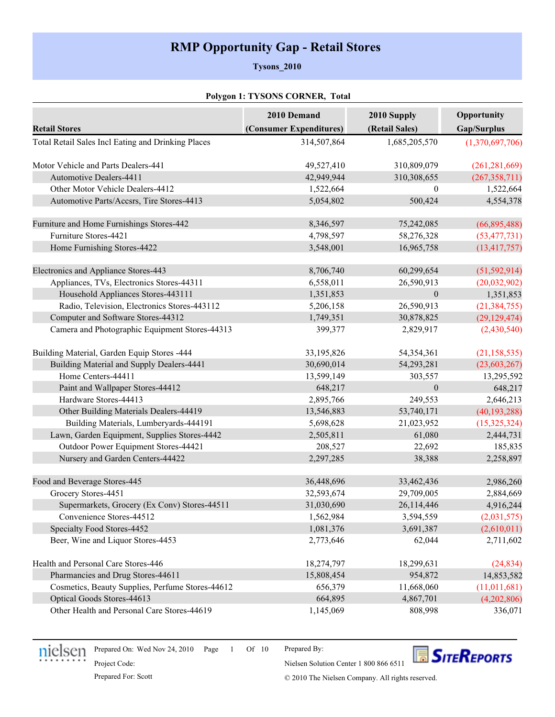# **RMP Opportunity Gap - Retail Stores**

#### **Tysons\_2010**

#### **Polygon 1: TYSONS CORNER, Total**

|                                                    | 2010 Demand             | 2010 Supply      | Opportunity     |
|----------------------------------------------------|-------------------------|------------------|-----------------|
| <b>Retail Stores</b>                               | (Consumer Expenditures) | (Retail Sales)   | Gap/Surplus     |
| Total Retail Sales Incl Eating and Drinking Places | 314,507,864             | 1,685,205,570    | (1,370,697,706) |
| Motor Vehicle and Parts Dealers-441                | 49,527,410              | 310,809,079      | (261, 281, 669) |
| <b>Automotive Dealers-4411</b>                     | 42,949,944              | 310,308,655      | (267, 358, 711) |
| Other Motor Vehicle Dealers-4412                   | 1,522,664               | $\theta$         | 1,522,664       |
| Automotive Parts/Accsrs, Tire Stores-4413          | 5,054,802               | 500,424          | 4,554,378       |
| Furniture and Home Furnishings Stores-442          | 8,346,597               | 75,242,085       | (66, 895, 488)  |
| Furniture Stores-4421                              | 4,798,597               | 58,276,328       | (53, 477, 731)  |
| Home Furnishing Stores-4422                        | 3,548,001               | 16,965,758       | (13, 417, 757)  |
| Electronics and Appliance Stores-443               | 8,706,740               | 60,299,654       | (51, 592, 914)  |
| Appliances, TVs, Electronics Stores-44311          | 6,558,011               | 26,590,913       | (20,032,902)    |
| Household Appliances Stores-443111                 | 1,351,853               | $\boldsymbol{0}$ | 1,351,853       |
| Radio, Television, Electronics Stores-443112       | 5,206,158               | 26,590,913       | (21, 384, 755)  |
| Computer and Software Stores-44312                 | 1,749,351               | 30,878,825       | (29, 129, 474)  |
| Camera and Photographic Equipment Stores-44313     | 399,377                 | 2,829,917        | (2,430,540)     |
| Building Material, Garden Equip Stores -444        | 33,195,826              | 54,354,361       | (21, 158, 535)  |
| Building Material and Supply Dealers-4441          | 30,690,014              | 54,293,281       | (23, 603, 267)  |
| Home Centers-44411                                 | 13,599,149              | 303,557          | 13,295,592      |
| Paint and Wallpaper Stores-44412                   | 648,217                 | $\boldsymbol{0}$ | 648,217         |
| Hardware Stores-44413                              | 2,895,766               | 249,553          | 2,646,213       |
| Other Building Materials Dealers-44419             | 13,546,883              | 53,740,171       | (40, 193, 288)  |
| Building Materials, Lumberyards-444191             | 5,698,628               | 21,023,952       | (15, 325, 324)  |
| Lawn, Garden Equipment, Supplies Stores-4442       | 2,505,811               | 61,080           | 2,444,731       |
| Outdoor Power Equipment Stores-44421               | 208,527                 | 22,692           | 185,835         |
| Nursery and Garden Centers-44422                   | 2,297,285               | 38,388           | 2,258,897       |
| Food and Beverage Stores-445                       | 36,448,696              | 33,462,436       | 2,986,260       |
| Grocery Stores-4451                                | 32,593,674              | 29,709,005       | 2,884,669       |
| Supermarkets, Grocery (Ex Conv) Stores-44511       | 31,030,690              | 26,114,446       | 4,916,244       |
| Convenience Stores-44512                           | 1,562,984               | 3,594,559        | (2,031,575)     |
| Specialty Food Stores-4452                         | 1,081,376               | 3,691,387        | (2,610,011)     |
| Beer, Wine and Liquor Stores-4453                  | 2,773,646               | 62,044           | 2,711,602       |
| Health and Personal Care Stores-446                | 18,274,797              | 18,299,631       | (24, 834)       |
| Pharmancies and Drug Stores-44611                  | 15,808,454              | 954,872          | 14,853,582      |
| Cosmetics, Beauty Supplies, Perfume Stores-44612   | 656,379                 | 11,668,060       | (11,011,681)    |
| Optical Goods Stores-44613                         | 664,895                 | 4,867,701        | (4,202,806)     |
| Other Health and Personal Care Stores-44619        | 1,145,069               | 808,998          | 336,071         |



Prepared On: Wed Nov 24, 2010 Page 1 Of 10

Prepared By:



Project Code:

Prepared For: Scott Company. All rights reserved.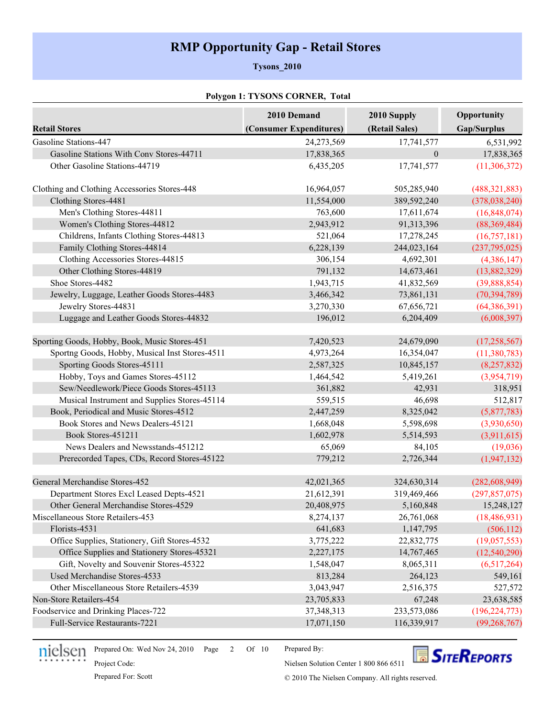# **RMP Opportunity Gap - Retail Stores**

#### **Tysons\_2010**

### **Polygon 1: TYSONS CORNER, Total**

|                                                | 2010 Demand             | 2010 Supply    | Opportunity     |
|------------------------------------------------|-------------------------|----------------|-----------------|
| <b>Retail Stores</b>                           | (Consumer Expenditures) | (Retail Sales) | Gap/Surplus     |
| Gasoline Stations-447                          | 24,273,569              | 17,741,577     | 6,531,992       |
| Gasoline Stations With Conv Stores-44711       | 17,838,365              | $\theta$       | 17,838,365      |
| Other Gasoline Stations-44719                  | 6,435,205               | 17,741,577     | (11, 306, 372)  |
| Clothing and Clothing Accessories Stores-448   | 16,964,057              | 505,285,940    | (488, 321, 883) |
| Clothing Stores-4481                           | 11,554,000              | 389,592,240    | (378, 038, 240) |
| Men's Clothing Stores-44811                    | 763,600                 | 17,611,674     | (16, 848, 074)  |
| Women's Clothing Stores-44812                  | 2,943,912               | 91,313,396     | (88,369,484)    |
| Childrens, Infants Clothing Stores-44813       | 521,064                 | 17,278,245     | (16,757,181)    |
| Family Clothing Stores-44814                   | 6,228,139               | 244,023,164    | (237,795,025)   |
| Clothing Accessories Stores-44815              | 306,154                 | 4,692,301      | (4,386,147)     |
| Other Clothing Stores-44819                    | 791,132                 | 14,673,461     | (13,882,329)    |
| Shoe Stores-4482                               | 1,943,715               | 41,832,569     | (39,888,854)    |
| Jewelry, Luggage, Leather Goods Stores-4483    | 3,466,342               | 73,861,131     | (70, 394, 789)  |
| Jewelry Stores-44831                           | 3,270,330               | 67,656,721     | (64, 386, 391)  |
| Luggage and Leather Goods Stores-44832         | 196,012                 | 6,204,409      | (6,008,397)     |
| Sporting Goods, Hobby, Book, Music Stores-451  | 7,420,523               | 24,679,090     | (17, 258, 567)  |
| Sportng Goods, Hobby, Musical Inst Stores-4511 | 4,973,264               | 16,354,047     | (11, 380, 783)  |
| Sporting Goods Stores-45111                    | 2,587,325               | 10,845,157     | (8, 257, 832)   |
| Hobby, Toys and Games Stores-45112             | 1,464,542               | 5,419,261      | (3,954,719)     |
| Sew/Needlework/Piece Goods Stores-45113        | 361,882                 | 42,931         | 318,951         |
| Musical Instrument and Supplies Stores-45114   | 559,515                 | 46,698         | 512,817         |
| Book, Periodical and Music Stores-4512         | 2,447,259               | 8,325,042      | (5,877,783)     |
| Book Stores and News Dealers-45121             | 1,668,048               | 5,598,698      | (3,930,650)     |
| Book Stores-451211                             | 1,602,978               | 5,514,593      | (3,911,615)     |
| News Dealers and Newsstands-451212             | 65,069                  | 84,105         | (19,036)        |
| Prerecorded Tapes, CDs, Record Stores-45122    | 779,212                 | 2,726,344      | (1, 947, 132)   |
| General Merchandise Stores-452                 | 42,021,365              | 324,630,314    | (282, 608, 949) |
| Department Stores Excl Leased Depts-4521       | 21,612,391              | 319,469,466    | (297, 857, 075) |
| Other General Merchandise Stores-4529          | 20,408,975              | 5,160,848      | 15,248,127      |
| Miscellaneous Store Retailers-453              | 8,274,137               | 26,761,068     | (18, 486, 931)  |
| Florists-4531                                  | 641,683                 | 1,147,795      | (506, 112)      |
| Office Supplies, Stationery, Gift Stores-4532  | 3,775,222               | 22,832,775     | (19,057,553)    |
| Office Supplies and Stationery Stores-45321    | 2,227,175               | 14,767,465     | (12,540,290)    |
| Gift, Novelty and Souvenir Stores-45322        | 1,548,047               | 8,065,311      | (6,517,264)     |
| Used Merchandise Stores-4533                   | 813,284                 | 264,123        | 549,161         |
| Other Miscellaneous Store Retailers-4539       | 3,043,947               | 2,516,375      | 527,572         |
| Non-Store Retailers-454                        | 23,705,833              | 67,248         | 23,638,585      |
| Foodservice and Drinking Places-722            | 37, 348, 313            | 233,573,086    | (196, 224, 773) |
| Full-Service Restaurants-7221                  | 17,071,150              | 116,339,917    | (99, 268, 767)  |



Prepared On: Wed Nov 24, 2010 Page 2 Of 10

Prepared By:



Project Code:

Prepared For: Scott Company. All rights reserved.